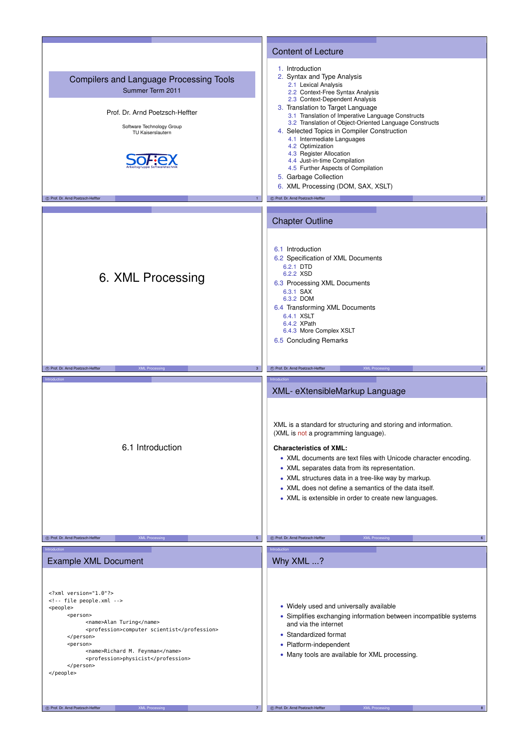|                                                                                                                                                                                                                                                                                        | <b>Content of Lecture</b>                                                                                                                                                                                                                                                                                                                                                                                                                                                                                                                                                                                                |
|----------------------------------------------------------------------------------------------------------------------------------------------------------------------------------------------------------------------------------------------------------------------------------------|--------------------------------------------------------------------------------------------------------------------------------------------------------------------------------------------------------------------------------------------------------------------------------------------------------------------------------------------------------------------------------------------------------------------------------------------------------------------------------------------------------------------------------------------------------------------------------------------------------------------------|
| <b>Compilers and Language Processing Tools</b><br>Summer Term 2011<br>Prof. Dr. Arnd Poetzsch-Heffter<br>Software Technology Group<br>TU Kaiserslautern<br>C Prof. Dr. Arnd Poetzsch-Heffter                                                                                           | 1. Introduction<br>2. Syntax and Type Analysis<br>2.1 Lexical Analysis<br>2.2 Context-Free Syntax Analysis<br>2.3 Context-Dependent Analysis<br>3. Translation to Target Language<br>3.1 Translation of Imperative Language Constructs<br>3.2 Translation of Object-Oriented Language Constructs<br>4. Selected Topics in Compiler Construction<br>4.1 Intermediate Languages<br>4.2 Optimization<br>4.3 Register Allocation<br>4.4 Just-in-time Compilation<br>4.5 Further Aspects of Compilation<br>5. Garbage Collection<br>6. XML Processing (DOM, SAX, XSLT)<br>C Prof. Dr. Arnd Poetzsch-Heffter<br>$\overline{2}$ |
|                                                                                                                                                                                                                                                                                        |                                                                                                                                                                                                                                                                                                                                                                                                                                                                                                                                                                                                                          |
| 6. XML Processing                                                                                                                                                                                                                                                                      | <b>Chapter Outline</b><br>6.1 Introduction<br>6.2 Specification of XML Documents<br>6.2.1 DTD<br>6.2.2 XSD<br>6.3 Processing XML Documents<br>6.3.1 SAX<br>6.3.2 DOM<br>6.4 Transforming XML Documents<br>6.4.1 XSLT<br>6.4.2 XPath<br>6.4.3 More Complex XSLT<br>6.5 Concluding Remarks                                                                                                                                                                                                                                                                                                                                 |
| C Prof. Dr. Arnd Poetzsch-Heffter<br><b>XML Processing</b><br>$\overline{\mathbf{3}}$                                                                                                                                                                                                  | C Prof. Dr. Arnd Poetzsch-Heffter<br><b>XML Processing</b><br>$\overline{4}$                                                                                                                                                                                                                                                                                                                                                                                                                                                                                                                                             |
| Introduction<br>6.1 Introduction                                                                                                                                                                                                                                                       | ntroductio<br>XML- eXtensibleMarkup Language<br>XML is a standard for structuring and storing and information.<br>(XML is not a programming language).<br><b>Characteristics of XML:</b><br>• XML documents are text files with Unicode character encoding.<br>• XML separates data from its representation.<br>• XML structures data in a tree-like way by markup.<br>• XML does not define a semantics of the data itself.<br>• XML is extensible in order to create new languages.                                                                                                                                    |
| C Prof. Dr. Arnd Poetzsch-Heffter<br><b>XML Processing</b><br>5                                                                                                                                                                                                                        | C Prof. Dr. Arnd Poetzsch-Heffter<br><b>XML Processing</b>                                                                                                                                                                                                                                                                                                                                                                                                                                                                                                                                                               |
| Introduction                                                                                                                                                                                                                                                                           |                                                                                                                                                                                                                                                                                                                                                                                                                                                                                                                                                                                                                          |
|                                                                                                                                                                                                                                                                                        | htroduction                                                                                                                                                                                                                                                                                                                                                                                                                                                                                                                                                                                                              |
| <b>Example XML Document</b>                                                                                                                                                                                                                                                            | Why XML ?                                                                                                                                                                                                                                                                                                                                                                                                                                                                                                                                                                                                                |
| $\leq$ ?xml version="1.0"?><br>file people.xml<br><people><br/><person><br/><name>Alan Turing</name><br/><profession>computer scientist</profession><br/></person><br/><person><br/><name>Richard M. Feynman</name><br/><profession>physicist</profession><br/></person><br/></people> | • Widely used and universally available<br>• Simplifies exchanging information between incompatible systems<br>and via the internet<br>• Standardized format<br>• Platform-independent<br>• Many tools are available for XML processing.                                                                                                                                                                                                                                                                                                                                                                                 |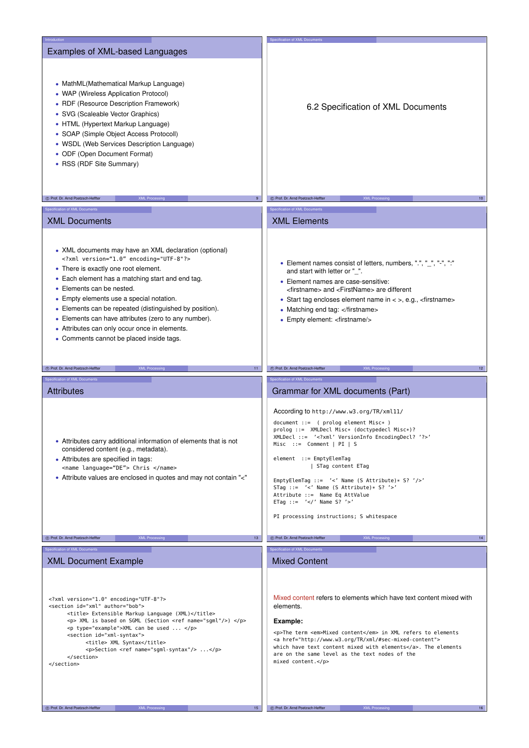| Introduction                                                                                                                                                                                                                                                                                                                                                                                                                                                                       | Specification of XML Documents                                                                                                                                                                                                                                                                                                                                                                                                                                                                                                                                    |
|------------------------------------------------------------------------------------------------------------------------------------------------------------------------------------------------------------------------------------------------------------------------------------------------------------------------------------------------------------------------------------------------------------------------------------------------------------------------------------|-------------------------------------------------------------------------------------------------------------------------------------------------------------------------------------------------------------------------------------------------------------------------------------------------------------------------------------------------------------------------------------------------------------------------------------------------------------------------------------------------------------------------------------------------------------------|
| Examples of XML-based Languages<br>• MathML(Mathematical Markup Language)<br>• WAP (Wireless Application Protocol)<br>• RDF (Resource Description Framework)<br>• SVG (Scaleable Vector Graphics)<br>• HTML (Hypertext Markup Language)<br>• SOAP (Simple Object Access Protocoll)<br>• WSDL (Web Services Description Language)<br>• ODF (Open Document Format)<br>• RSS (RDF Site Summary)                                                                                       | 6.2 Specification of XML Documents                                                                                                                                                                                                                                                                                                                                                                                                                                                                                                                                |
|                                                                                                                                                                                                                                                                                                                                                                                                                                                                                    |                                                                                                                                                                                                                                                                                                                                                                                                                                                                                                                                                                   |
| C Prof. Dr. Arnd Poetzsch-Heffter<br><b>XML Processing</b><br>9                                                                                                                                                                                                                                                                                                                                                                                                                    | C Prof. Dr. Arnd Poetzsch-Heffter<br><b>XML Processing</b><br>10 <sub>1</sub>                                                                                                                                                                                                                                                                                                                                                                                                                                                                                     |
| Specification of XML Documents                                                                                                                                                                                                                                                                                                                                                                                                                                                     | Specification of XML Documents                                                                                                                                                                                                                                                                                                                                                                                                                                                                                                                                    |
|                                                                                                                                                                                                                                                                                                                                                                                                                                                                                    | <b>XML Elements</b>                                                                                                                                                                                                                                                                                                                                                                                                                                                                                                                                               |
| <b>XML Documents</b>                                                                                                                                                                                                                                                                                                                                                                                                                                                               |                                                                                                                                                                                                                                                                                                                                                                                                                                                                                                                                                                   |
| • XML documents may have an XML declaration (optional)<br>xml version="1.0" encoding="UTF-8"?<br>• There is exactly one root element.<br>• Each element has a matching start and end tag.<br>• Elements can be nested.<br>• Empty elements use a special notation.<br>• Elements can be repeated (distinguished by position).<br>• Elements can have attributes (zero to any number).<br>• Attributes can only occur once in elements.<br>• Comments cannot be placed inside tags. | • Element names consist of letters, numbers, ".", "_", "-", ":"<br>and start with letter or "_".<br>• Element names are case-sensitive:<br><firstname> and <firstname> are different<br/>• Start tag encloses element name in &lt; &gt;, e.g., <firstname><br/>• Matching end tag: </firstname><br/>• Empty element: <firstname></firstname></firstname></firstname>                                                                                                                                                                                              |
| C Prof. Dr. Arnd Poetzsch-Heffter<br><b>XML Processing</b><br>11 <sub>1</sub>                                                                                                                                                                                                                                                                                                                                                                                                      | C Prof. Dr. Arnd Poetzsch-Heffter<br><b>XML Process</b><br>12 <sup>7</sup>                                                                                                                                                                                                                                                                                                                                                                                                                                                                                        |
|                                                                                                                                                                                                                                                                                                                                                                                                                                                                                    |                                                                                                                                                                                                                                                                                                                                                                                                                                                                                                                                                                   |
|                                                                                                                                                                                                                                                                                                                                                                                                                                                                                    |                                                                                                                                                                                                                                                                                                                                                                                                                                                                                                                                                                   |
| Specification of XML Documents                                                                                                                                                                                                                                                                                                                                                                                                                                                     | Specification of XML Documents                                                                                                                                                                                                                                                                                                                                                                                                                                                                                                                                    |
| <b>Attributes</b><br>• Attributes carry additional information of elements that is not<br>considered content (e.g., metadata).<br>• Attributes are specified in tags:<br><name language="DE"> Chris </name><br>• Attribute values are enclosed in quotes and may not contain "<"                                                                                                                                                                                                   | Grammar for XML documents (Part)<br>According to http://www.w3.org/TR/xml11/<br>$document :: = ( prolog element Misc*)$<br>prolog ::= XMLDecl Misc* (doctypedecl Misc*)?<br>XMLDecl ::= ' xml' VersionInfo EncodingDecl? '? '<br>Misc ::= Comment $ PI S$<br>element ::= EmptyElemTag<br>  STag content ETag<br>EmptyElemTag ::= '<' Name (S Attribute)* S? '/>'<br>STag ::= $\prime$ <' Name (S Attribute)* S? '>'<br>Attribute ::= Name Eq AttValue<br>ETag ::= $\frac{7}{5}$ / $\frac{7}{5}$ Name S? $\frac{7}{5}$<br>PI processing instructions; S whitespace |
| <b>XML Processing</b><br>13<br>C Prof. Dr. Arnd Poetzsch-Heffter                                                                                                                                                                                                                                                                                                                                                                                                                   | (C) Prof. Dr. Arnd Poetzsch-Heffter<br><b>XML Processing</b><br>14                                                                                                                                                                                                                                                                                                                                                                                                                                                                                                |
| Specification of XML Documents                                                                                                                                                                                                                                                                                                                                                                                                                                                     | Specification of XML Documents                                                                                                                                                                                                                                                                                                                                                                                                                                                                                                                                    |
| <b>XML Document Example</b>                                                                                                                                                                                                                                                                                                                                                                                                                                                        | <b>Mixed Content</b>                                                                                                                                                                                                                                                                                                                                                                                                                                                                                                                                              |
| xml version="1.0" encoding="UTF-8"?<br><section author="bob" id="xml"><br/><title> Extensible Markup Language (XML)</title><br/><p> XML is based on SGML (Section <ref name="sgml"></ref>) </p><br/><p type="example">XML can be used  </p><br/><section id="xml-syntax"><br/><title> XML Syntax</title><br/><p>Section <ref name="sgml-syntax"></ref> </p><br/></section><br/></section>                                                                                          | Mixed content refers to elements which have text content mixed with<br>elements.<br>Example:<br><p>The term <em>Mixed content</em> in XML refers to elements<br/><a href="http://www.w3.org/TR/xml/#sec-mixed-content"><br/>which have text content mixed with elements</a>. The elements<br/>are on the same level as the text nodes of the<br/>mixed content.</p>                                                                                                                                                                                               |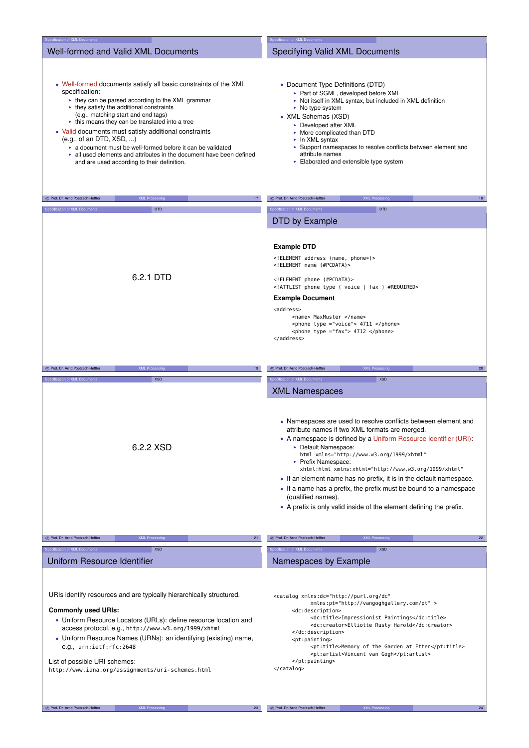| Specification of XML Documents                                                                                                                                                                                                                                                                                                                                                                                                                                                                                                                                              | Specification of XML Documents                                                                                                                                                                                                                                                                                                                                                                                                                                                                                                                                                                              |
|-----------------------------------------------------------------------------------------------------------------------------------------------------------------------------------------------------------------------------------------------------------------------------------------------------------------------------------------------------------------------------------------------------------------------------------------------------------------------------------------------------------------------------------------------------------------------------|-------------------------------------------------------------------------------------------------------------------------------------------------------------------------------------------------------------------------------------------------------------------------------------------------------------------------------------------------------------------------------------------------------------------------------------------------------------------------------------------------------------------------------------------------------------------------------------------------------------|
| Well-formed and Valid XML Documents                                                                                                                                                                                                                                                                                                                                                                                                                                                                                                                                         | Specifying Valid XML Documents                                                                                                                                                                                                                                                                                                                                                                                                                                                                                                                                                                              |
| • Well-formed documents satisfy all basic constraints of the XML<br>specification:<br>► they can be parsed according to the XML grammar<br>$\blacktriangleright$ they satisfy the additional constraints<br>(e.g., matching start and end tags)<br>• this means they can be translated into a tree<br>• Valid documents must satisfy additional constraints<br>(e.g., of an DTD, XSD, )<br>• a document must be well-formed before it can be validated<br>all used elements and attributes in the document have been defined<br>and are used according to their definition. | • Document Type Definitions (DTD)<br>► Part of SGML, developed before XML<br>Not itself in XML syntax, but included in XML definition<br>$\triangleright$ No type system<br>• XML Schemas (XSD)<br>► Developed after XML<br>• More complicated than DTD<br>$\blacktriangleright$ In XML syntax<br>► Support namespaces to resolve conflicts between element and<br>attribute names<br>$\blacktriangleright$ Elaborated and extensible type system                                                                                                                                                           |
| C Prof. Dr. Arnd Poetzsch-Heffter<br><b>XML Processing</b><br>17                                                                                                                                                                                                                                                                                                                                                                                                                                                                                                            | <b>XML Processing</b><br>C Prof. Dr. Arnd Poetzsch-Heffter<br>18                                                                                                                                                                                                                                                                                                                                                                                                                                                                                                                                            |
| <b>DTD</b><br>Specification of XML Documents                                                                                                                                                                                                                                                                                                                                                                                                                                                                                                                                | Specification of XML Documents<br><b>DTD</b>                                                                                                                                                                                                                                                                                                                                                                                                                                                                                                                                                                |
|                                                                                                                                                                                                                                                                                                                                                                                                                                                                                                                                                                             | DTD by Example                                                                                                                                                                                                                                                                                                                                                                                                                                                                                                                                                                                              |
| 6.2.1 DTD                                                                                                                                                                                                                                                                                                                                                                                                                                                                                                                                                                   | <b>Example DTD</b><br>ELEMENT address (name, phone*)<br>ELEMENT name (#PCDATA)<br>ELEMENT phone (#PCDATA)<br>ATTLIST phone type ( voice   fax ) #REQUIRED<br><b>Example Document</b><br><address><br/><name> MaxMuster </name><br/><phone type="voice"> 4711 </phone><br/><phone type="fax"> 4712 </phone><br/></address>                                                                                                                                                                                                                                                                                   |
|                                                                                                                                                                                                                                                                                                                                                                                                                                                                                                                                                                             |                                                                                                                                                                                                                                                                                                                                                                                                                                                                                                                                                                                                             |
| C Prof. Dr. Arnd Poetzsch-Heffter<br><b>XML Processin</b><br>19                                                                                                                                                                                                                                                                                                                                                                                                                                                                                                             | C Prof. Dr. Arnd Poetzsch-Heffter<br>20 <sub>2</sub><br><b>XML Processin</b>                                                                                                                                                                                                                                                                                                                                                                                                                                                                                                                                |
| <b>XSD</b><br>Specification of XML Documents                                                                                                                                                                                                                                                                                                                                                                                                                                                                                                                                | Specification of XML Documents<br><b>XSD</b>                                                                                                                                                                                                                                                                                                                                                                                                                                                                                                                                                                |
| 6.2.2 XSD                                                                                                                                                                                                                                                                                                                                                                                                                                                                                                                                                                   | <b>XML Namespaces</b><br>• Namespaces are used to resolve conflicts between element and<br>attribute names if two XML formats are merged.<br>• A namespace is defined by a Uniform Resource Identifier (URI):<br>• Default Namespace:<br>html xmlns="http://www.w3.org/1999/xhtml"<br>► Prefix Namespace:<br>xhtml:html xmlns:xhtml="http://www.w3.org/1999/xhtml"<br>• If an element name has no prefix, it is in the default namespace.<br>• If a name has a prefix, the prefix must be bound to a namespace<br>(qualified names).<br>• A prefix is only valid inside of the element defining the prefix. |
| (C) Prof. Dr. Arnd Poetzsch-Heffter<br><b>XML Processing</b><br>21                                                                                                                                                                                                                                                                                                                                                                                                                                                                                                          | C Prof. Dr. Arnd Poetzsch-Heffter<br><b>XML Processing</b>                                                                                                                                                                                                                                                                                                                                                                                                                                                                                                                                                  |
|                                                                                                                                                                                                                                                                                                                                                                                                                                                                                                                                                                             | 22                                                                                                                                                                                                                                                                                                                                                                                                                                                                                                                                                                                                          |
| <b>XSD</b><br>Specification of XML Documents                                                                                                                                                                                                                                                                                                                                                                                                                                                                                                                                | Specification of XML Documents<br><b>XSD</b>                                                                                                                                                                                                                                                                                                                                                                                                                                                                                                                                                                |
| Uniform Resource Identifier                                                                                                                                                                                                                                                                                                                                                                                                                                                                                                                                                 | Namespaces by Example                                                                                                                                                                                                                                                                                                                                                                                                                                                                                                                                                                                       |
| URIs identify resources and are typically hierarchically structured.<br><b>Commonly used URIs:</b><br>• Uniform Resource Locators (URLs): define resource location and<br>access protocol, e.g., http://www.w3.org/1999/xhtml<br>• Uniform Resource Names (URNs): an identifying (existing) name,<br>e.g., urn:ietf:rfc:2648<br>List of possible URI schemes:<br>http://www.iana.org/assignments/uri-schemes.html                                                                                                                                                           | <catalog <br="" xmlns:dc="http://purl.org/dc">xmlns:pt="http://vangoghgallery.com/pt" &gt;<br/><dc:description><br/><dc:title>Impressionist Paintings</dc:title><br/><dc:creator>Elliotte Rusty Harold</dc:creator><br/></dc:description><br/><pt:painting><br/><pt:title>Memory of the Garden at Etten</pt:title><br/><pt:artist>Vincent van Gogh</pt:artist><br/></pt:painting><br/></catalog>                                                                                                                                                                                                            |
| C Prof. Dr. Arnd Poetzsch-Heffter<br><b>XML Processing</b><br>23                                                                                                                                                                                                                                                                                                                                                                                                                                                                                                            | C Prof. Dr. Arnd Poetzsch-Heffter<br>24<br><b>XML Processing</b>                                                                                                                                                                                                                                                                                                                                                                                                                                                                                                                                            |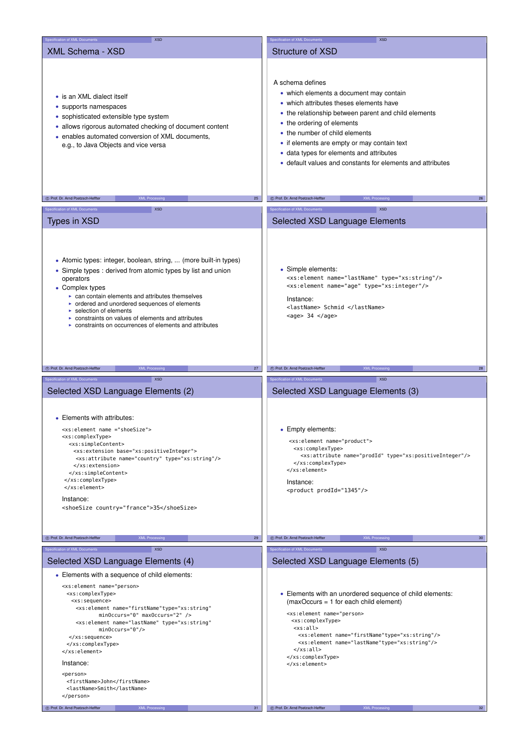| Specification of XML Documents<br><b>XSD</b>                                                                                                                                                                                                                                                                                                                                                                                   | Specification of XML Documents<br><b>XSD</b>                                                                                                                                                                                                                                                                                                                                                                                                                                                                                                                                             |
|--------------------------------------------------------------------------------------------------------------------------------------------------------------------------------------------------------------------------------------------------------------------------------------------------------------------------------------------------------------------------------------------------------------------------------|------------------------------------------------------------------------------------------------------------------------------------------------------------------------------------------------------------------------------------------------------------------------------------------------------------------------------------------------------------------------------------------------------------------------------------------------------------------------------------------------------------------------------------------------------------------------------------------|
| <b>XML Schema - XSD</b>                                                                                                                                                                                                                                                                                                                                                                                                        | <b>Structure of XSD</b>                                                                                                                                                                                                                                                                                                                                                                                                                                                                                                                                                                  |
| • is an XML dialect itself<br>• supports namespaces<br>• sophisticated extensible type system<br>• allows rigorous automated checking of document content<br>• enables automated conversion of XML documents,<br>e.g., to Java Objects and vice versa                                                                                                                                                                          | A schema defines<br>• which elements a document may contain<br>• which attributes theses elements have<br>• the relationship between parent and child elements<br>• the ordering of elements<br>• the number of child elements<br>• if elements are empty or may contain text<br>· data types for elements and attributes<br>• default values and constants for elements and attributes                                                                                                                                                                                                  |
| C Prof. Dr. Arnd Poetzsch-Heffter<br><b>XML Processing</b><br>25                                                                                                                                                                                                                                                                                                                                                               | 26<br>C Prof. Dr. Arnd Poetzsch-Heffter<br><b>XML Processing</b>                                                                                                                                                                                                                                                                                                                                                                                                                                                                                                                         |
| Specification of XML Documents<br><b>XSD</b>                                                                                                                                                                                                                                                                                                                                                                                   | Specification of XML Documents<br><b>XSD</b>                                                                                                                                                                                                                                                                                                                                                                                                                                                                                                                                             |
|                                                                                                                                                                                                                                                                                                                                                                                                                                |                                                                                                                                                                                                                                                                                                                                                                                                                                                                                                                                                                                          |
| <b>Types in XSD</b>                                                                                                                                                                                                                                                                                                                                                                                                            | Selected XSD Language Elements                                                                                                                                                                                                                                                                                                                                                                                                                                                                                                                                                           |
| • Atomic types: integer, boolean, string,  (more built-in types)<br>• Simple types : derived from atomic types by list and union<br>operators<br>• Complex types<br>► can contain elements and attributes themselves<br>• ordered and unordered sequences of elements<br>$\triangleright$ selection of elements<br>constraints on values of elements and attributes<br>• constraints on occurrences of elements and attributes | • Simple elements:<br><xs:element name="lastName" type="xs:string"></xs:element><br><xs:element name="age" type="xs:integer"></xs:element><br>Instance:<br><lastname> Schmid </lastname><br>$<$ age> 34 $<$ /age>                                                                                                                                                                                                                                                                                                                                                                        |
| C Prof. Dr. Arnd Poetzsch-Heffter<br>27<br><b>XML Processing</b>                                                                                                                                                                                                                                                                                                                                                               | C Prof. Dr. Arnd Poetzsch-Heffter<br>28<br><b>XML Processin</b>                                                                                                                                                                                                                                                                                                                                                                                                                                                                                                                          |
|                                                                                                                                                                                                                                                                                                                                                                                                                                |                                                                                                                                                                                                                                                                                                                                                                                                                                                                                                                                                                                          |
| Specification of XML Documents<br><b>XSD</b>                                                                                                                                                                                                                                                                                                                                                                                   | pecification of XML Documents<br><b>XSD</b>                                                                                                                                                                                                                                                                                                                                                                                                                                                                                                                                              |
| Selected XSD Language Elements (2)<br>• Elements with attributes:<br><xs:element name="shoeSize"><br/><xs:complextype><br/><xs:simplecontent><br/><xs:extension base="xs:positiveInteger"><br/><xs:attribute name="country" type="xs:string"></xs:attribute><br/></xs:extension><br/></xs:simplecontent><br/></xs:complextype><br/></xs:element><br>Instance:<br><shoesize country="france">35</shoesize>                      | Selected XSD Language Elements (3)<br>• Empty elements:<br><xs:element name="product"><br/><xs:complextype><br/><xs:attribute name="prodId" type="xs:positiveInteger"></xs:attribute><br/></xs:complextype><br/></xs:element><br>Instance:<br><product prodid="1345"></product>                                                                                                                                                                                                                                                                                                          |
| C Prof. Dr. Arnd Poetzsch-Heffter<br><b>XML Processing</b><br>29                                                                                                                                                                                                                                                                                                                                                               | (C) Prof. Dr. Arnd Poetzsch-Heffter<br><b>XML Processing</b><br>30 <sub>2</sub>                                                                                                                                                                                                                                                                                                                                                                                                                                                                                                          |
| Specification of XML Documents<br><b>XSD</b>                                                                                                                                                                                                                                                                                                                                                                                   | Specification of XML Documents<br><b>XSD</b>                                                                                                                                                                                                                                                                                                                                                                                                                                                                                                                                             |
|                                                                                                                                                                                                                                                                                                                                                                                                                                |                                                                                                                                                                                                                                                                                                                                                                                                                                                                                                                                                                                          |
| Selected XSD Language Elements (4)                                                                                                                                                                                                                                                                                                                                                                                             | Selected XSD Language Elements (5)                                                                                                                                                                                                                                                                                                                                                                                                                                                                                                                                                       |
| • Elements with a sequence of child elements:<br><xs:element <br="" firstname"type="xs:string" name="person&gt;&lt;br&gt;&lt;xs:complexType&gt;&lt;br&gt;&lt;xs:sequence&gt;&lt;br&gt;&lt;xs:element name=">minOccurs="0" maxOccurs="2" /&gt;<br/><xs:element <br="" name="lastName" type="xs:string"><math>minOccurs="0"</math>/&gt;<br/><br/><br/></xs:element></xs:element>                                                 | • Elements with an unordered sequence of child elements:<br>$(maxOccurs = 1$ for each child element)<br><xs:element firstname"type="xs:string" name="person&gt;&lt;br&gt;&lt;xs:complexType&gt;&lt;br&gt;&lt;xs:all&gt;&lt;/td&gt;&lt;/tr&gt;&lt;tr&gt;&lt;td&gt;Instance:&lt;br&gt;&lt;person&gt;&lt;br&gt;&lt;firstName&gt;John&lt;/firstName&gt;&lt;br&gt;&lt;lastName&gt;Smith&lt;/lastName&gt;&lt;br&gt;&lt;/person&gt;&lt;/td&gt;&lt;td&gt;&lt;xs:element name="></xs:element><br><xs:element name="lastName" type="xs:string"></xs:element><br>$\langle x \rangle$ s:all><br><br> |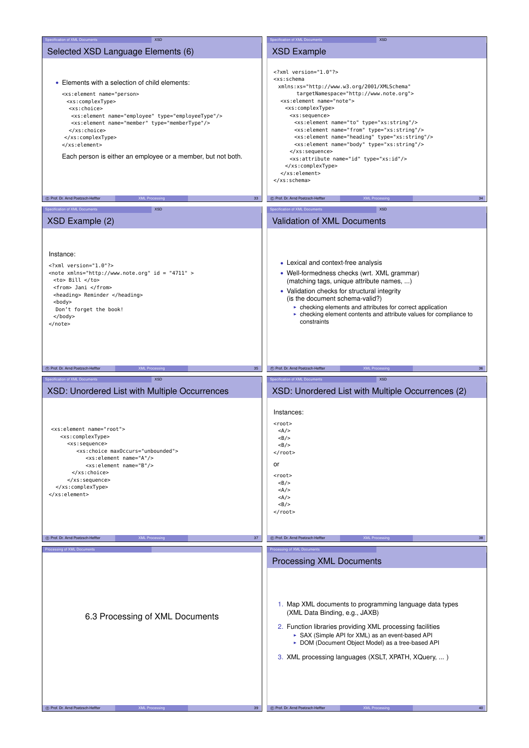| Specification of XML Documents<br><b>XSD</b>                                                                                                                                                                                                                                                                                                                                                                                                                                                      | Specification of XML Documents<br><b>XSD</b>                                                                                                                                                                                                                                                                                                                                                                                                                                                                                                                                                                                                                                                                    |
|---------------------------------------------------------------------------------------------------------------------------------------------------------------------------------------------------------------------------------------------------------------------------------------------------------------------------------------------------------------------------------------------------------------------------------------------------------------------------------------------------|-----------------------------------------------------------------------------------------------------------------------------------------------------------------------------------------------------------------------------------------------------------------------------------------------------------------------------------------------------------------------------------------------------------------------------------------------------------------------------------------------------------------------------------------------------------------------------------------------------------------------------------------------------------------------------------------------------------------|
| Selected XSD Language Elements (6)                                                                                                                                                                                                                                                                                                                                                                                                                                                                | <b>XSD Example</b>                                                                                                                                                                                                                                                                                                                                                                                                                                                                                                                                                                                                                                                                                              |
|                                                                                                                                                                                                                                                                                                                                                                                                                                                                                                   |                                                                                                                                                                                                                                                                                                                                                                                                                                                                                                                                                                                                                                                                                                                 |
| • Elements with a selection of child elements:<br><xs:element employee"="" name="person&gt;&lt;br&gt;&lt;xs:complexType&gt;&lt;br&gt;&lt;xs:choice&gt;&lt;br&gt;&lt;xs:element name=" type="employeeType"></xs:element><br><xs:element name="member" type="memberType"></xs:element><br><br><br><br>Each person is either an employee or a member, but not both.<br>C Prof. Dr. Arnd Poetzsch-Heffter<br><b>XML Processing</b><br>33 <sup>3</sup><br>Specification of XML Documents<br><b>XSD</b> | xml version="1.0"?<br><xs:schema<br>xmlns:xs="http://www.w3.org/2001/XMLSchema"<br/>targetNamespace="http://www.note.org"&gt;<br/><xs:element name="note"><br/><xs:complextype><br/><xs:sequence><br/><xs:element name="to" type="xs:string"></xs:element><br/><xs:element name="from" type="xs:string"></xs:element><br/><xs:element name="heading" type="xs:string"></xs:element><br/><xs:element name="body" type="xs:string"></xs:element><br/></xs:sequence><br/><xs:attribute name="id" type="xs:id"></xs:attribute><br/></xs:complextype><br/></xs:element><br/><br/>C Prof. Dr. Arnd Poetzsch-Heffter<br/><b>XML Processing</b><br/>34<br/>Specification of XML Documents<br/><b>XSD</b></xs:schema<br> |
| XSD Example (2)                                                                                                                                                                                                                                                                                                                                                                                                                                                                                   | Validation of XML Documents                                                                                                                                                                                                                                                                                                                                                                                                                                                                                                                                                                                                                                                                                     |
| Instance:<br>$\leq$ ?xml version="1.0"?><br><note id="4711" xmlns="http://www.note.org"><br/><to> Bill </to><br/><from> Jani </from><br/><heading> Reminder </heading><br/><body><br/>Don't forget the book!<br/></body><br/></note>                                                                                                                                                                                                                                                              | • Lexical and context-free analysis<br>• Well-formedness checks (wrt. XML grammar)<br>(matching tags, unique attribute names, )<br>• Validation checks for structural integrity<br>(is the document schema-valid?)<br>• checking elements and attributes for correct application<br>• checking element contents and attribute values for compliance to<br>constraints                                                                                                                                                                                                                                                                                                                                           |
|                                                                                                                                                                                                                                                                                                                                                                                                                                                                                                   |                                                                                                                                                                                                                                                                                                                                                                                                                                                                                                                                                                                                                                                                                                                 |
| C Prof. Dr. Arnd Poetzsch-Heffter<br><b>XML Processing</b><br>35 <sup>5</sup>                                                                                                                                                                                                                                                                                                                                                                                                                     | C Prof. Dr. Arnd Poetzsch-Heffter<br><b>XML Processing</b><br>36                                                                                                                                                                                                                                                                                                                                                                                                                                                                                                                                                                                                                                                |
|                                                                                                                                                                                                                                                                                                                                                                                                                                                                                                   |                                                                                                                                                                                                                                                                                                                                                                                                                                                                                                                                                                                                                                                                                                                 |
| Specification of XML Documents<br><b>XSD</b>                                                                                                                                                                                                                                                                                                                                                                                                                                                      | Specification of XML Documents<br>XSD                                                                                                                                                                                                                                                                                                                                                                                                                                                                                                                                                                                                                                                                           |
|                                                                                                                                                                                                                                                                                                                                                                                                                                                                                                   |                                                                                                                                                                                                                                                                                                                                                                                                                                                                                                                                                                                                                                                                                                                 |
| XSD: Unordered List with Multiple Occurrences<br><xs:element name="root"><br/><xs:complextype><br/><xs:sequence><br/><xs:choice maxoccurs="unbounded"><br/><xs:element name="A"></xs:element><br/><xs:element name="B"></xs:element><br/></xs:choice><br/></xs:sequence><br/></xs:complextype><br/></xs:element>                                                                                                                                                                                  | XSD: Unordered List with Multiple Occurrences (2)<br>Instances:<br><root><br/><math>&lt;</math>A/&gt;<br/><math>&lt;</math>B/&gt;<br/><math>&lt;</math>B/&gt;<br/><math>&lt;</math>/<math>root</math><br/>or<br/><root><br/><math>&lt;</math>B/&gt;<br/><math>&lt;</math>A/&gt;<br/><math>&lt;</math>A/&gt;<br/><math>&lt;</math>B/&gt;<br/><math>\frac{2}{100}</math></root></root>                                                                                                                                                                                                                                                                                                                            |
|                                                                                                                                                                                                                                                                                                                                                                                                                                                                                                   |                                                                                                                                                                                                                                                                                                                                                                                                                                                                                                                                                                                                                                                                                                                 |
| C Prof. Dr. Arnd Poetzsch-Heffter<br><b>XML Processing</b><br>37                                                                                                                                                                                                                                                                                                                                                                                                                                  | C Prof. Dr. Arnd Poetzsch-Heffter<br><b>XML Processing</b><br>38                                                                                                                                                                                                                                                                                                                                                                                                                                                                                                                                                                                                                                                |
| Processing of XML Documents<br>6.3 Processing of XML Documents                                                                                                                                                                                                                                                                                                                                                                                                                                    | Processing of XML Documents<br><b>Processing XML Documents</b><br>1. Map XML documents to programming language data types<br>(XML Data Binding, e.g., JAXB)<br>2. Function libraries providing XML processing facilities<br>SAX (Simple API for XML) as an event-based API<br>• DOM (Document Object Model) as a tree-based API<br>3. XML processing languages (XSLT, XPATH, XQuery, )                                                                                                                                                                                                                                                                                                                          |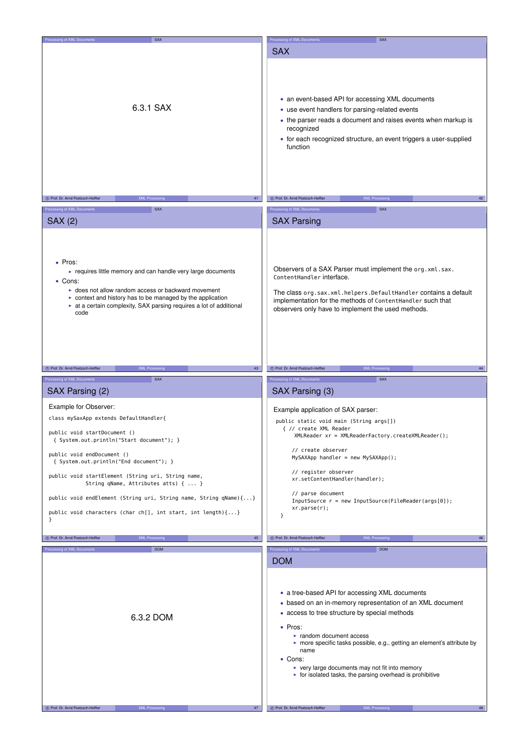| Processing of XML Documents<br>SAX                                                                                                                                                                                                                                                                  | Processing of XML Documents<br>SAX                                                                                                                                                                                                                                                                                                                                                                                                            |
|-----------------------------------------------------------------------------------------------------------------------------------------------------------------------------------------------------------------------------------------------------------------------------------------------------|-----------------------------------------------------------------------------------------------------------------------------------------------------------------------------------------------------------------------------------------------------------------------------------------------------------------------------------------------------------------------------------------------------------------------------------------------|
| 6.3.1 SAX                                                                                                                                                                                                                                                                                           | <b>SAX</b><br>• an event-based API for accessing XML documents<br>• use event handlers for parsing-related events<br>• the parser reads a document and raises events when markup is<br>recognized<br>• for each recognized structure, an event triggers a user-supplied<br>function                                                                                                                                                           |
|                                                                                                                                                                                                                                                                                                     |                                                                                                                                                                                                                                                                                                                                                                                                                                               |
| 41<br>C Prof. Dr. Arnd Poetzsch-Heffter<br><b>XML Processing</b>                                                                                                                                                                                                                                    | C Prof. Dr. Arnd Poetzsch-Heffter<br><b>XML Processing</b><br>42                                                                                                                                                                                                                                                                                                                                                                              |
| Processing of XML Documents<br><b>SAX</b>                                                                                                                                                                                                                                                           | Processing of XML Documents<br><b>SAX</b>                                                                                                                                                                                                                                                                                                                                                                                                     |
| <b>SAX (2)</b>                                                                                                                                                                                                                                                                                      | <b>SAX Parsing</b>                                                                                                                                                                                                                                                                                                                                                                                                                            |
|                                                                                                                                                                                                                                                                                                     |                                                                                                                                                                                                                                                                                                                                                                                                                                               |
| • Pros:<br>• requires little memory and can handle very large documents<br>• Cons:<br>• does not allow random access or backward movement<br>$\triangleright$ context and history has to be managed by the application<br>at a certain complexity, SAX parsing requires a lot of additional<br>code | Observers of a SAX Parser must implement the org. xml.sax.<br>ContentHandler interface.<br>The class org.sax.xml.helpers.DefaultHandler contains a default<br>implementation for the methods of ContentHandler such that<br>observers only have to implement the used methods.                                                                                                                                                                |
|                                                                                                                                                                                                                                                                                                     |                                                                                                                                                                                                                                                                                                                                                                                                                                               |
|                                                                                                                                                                                                                                                                                                     |                                                                                                                                                                                                                                                                                                                                                                                                                                               |
| 43<br>C Prof. Dr. Arnd Poetzsch-Heffter<br><b>XML Processing</b>                                                                                                                                                                                                                                    | C Prof. Dr. Arnd Poetzsch-Heffter<br><b>XML Processing</b><br>44                                                                                                                                                                                                                                                                                                                                                                              |
| Processing of XML Documents<br><b>SAX</b>                                                                                                                                                                                                                                                           | Processing of XML Documents<br><b>SAX</b>                                                                                                                                                                                                                                                                                                                                                                                                     |
| SAX Parsing (2)                                                                                                                                                                                                                                                                                     | SAX Parsing (3)                                                                                                                                                                                                                                                                                                                                                                                                                               |
|                                                                                                                                                                                                                                                                                                     |                                                                                                                                                                                                                                                                                                                                                                                                                                               |
| Example for Observer:                                                                                                                                                                                                                                                                               | Example application of SAX parser:                                                                                                                                                                                                                                                                                                                                                                                                            |
| class mySaxApp extends DefaultHandler{                                                                                                                                                                                                                                                              | public static void main (String args[])                                                                                                                                                                                                                                                                                                                                                                                                       |
| public void startDocument ()                                                                                                                                                                                                                                                                        | { // create XML Reader                                                                                                                                                                                                                                                                                                                                                                                                                        |
| { System.out.println("Start document"); }                                                                                                                                                                                                                                                           | XMLReader xr = XMLReaderFactory.createXMLReader();                                                                                                                                                                                                                                                                                                                                                                                            |
| public void endDocument ()<br>{ System.out.println("End document"); }                                                                                                                                                                                                                               | // create observer<br>MySAXApp handler = new MySAXApp();                                                                                                                                                                                                                                                                                                                                                                                      |
| public void startElement (String uri, String name,<br>String qName, Attributes atts) {  }                                                                                                                                                                                                           | // register observer<br>xr.setContentHandler(handler);                                                                                                                                                                                                                                                                                                                                                                                        |
|                                                                                                                                                                                                                                                                                                     | // parse document                                                                                                                                                                                                                                                                                                                                                                                                                             |
| public void endElement (String uri, String name, String qName){}                                                                                                                                                                                                                                    | $InputStreamce$ r = new InputSource(FileReader(args[0]);                                                                                                                                                                                                                                                                                                                                                                                      |
| public void characters (char ch[], int start, int length) $\{ \ldots \}$                                                                                                                                                                                                                            | xr.parse(r);<br>$\mathcal{F}$                                                                                                                                                                                                                                                                                                                                                                                                                 |
| $\mathcal{F}$                                                                                                                                                                                                                                                                                       |                                                                                                                                                                                                                                                                                                                                                                                                                                               |
|                                                                                                                                                                                                                                                                                                     | (C) Prof. Dr. Arnd Poetzsch-Heffter                                                                                                                                                                                                                                                                                                                                                                                                           |
| C Prof. Dr. Arnd Poetzsch-Heffter<br><b>XML Processing</b><br>45                                                                                                                                                                                                                                    | <b>XML Processing</b><br>46                                                                                                                                                                                                                                                                                                                                                                                                                   |
| Processing of XML Documents<br><b>DOM</b>                                                                                                                                                                                                                                                           | Processing of XML Documents<br><b>DOM</b>                                                                                                                                                                                                                                                                                                                                                                                                     |
| 6.3.2 DOM                                                                                                                                                                                                                                                                                           | <b>DOM</b><br>• a tree-based API for accessing XML documents<br>• based on an in-memory representation of an XML document<br>• access to tree structure by special methods<br>• Pros:<br>► random document access<br>• more specific tasks possible, e.g., getting an element's attribute by<br>name<br>• Cons:<br>► very large documents may not fit into memory<br>$\triangleright$ for isolated tasks, the parsing overhead is prohibitive |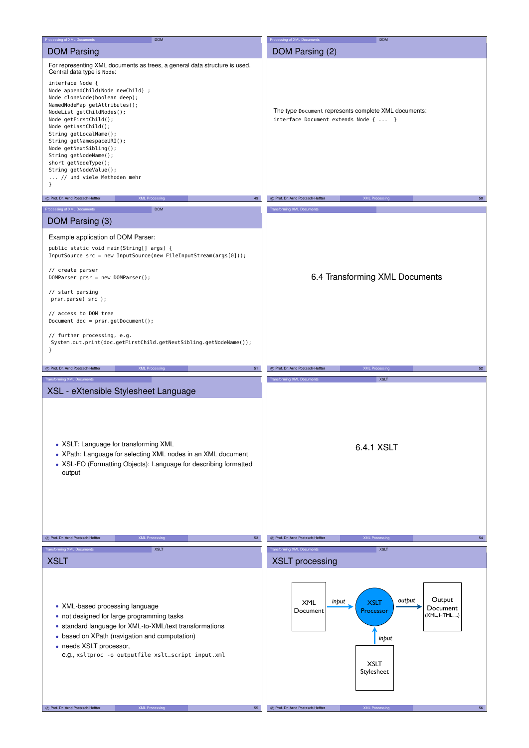| Processing of XML Documents<br><b>DOM</b>                                                                                                                                                                                                                                                                                                                                                                                                                                                                                                                                            | Processing of XML Documents<br><b>DOM</b>                                                                                                                                    |
|--------------------------------------------------------------------------------------------------------------------------------------------------------------------------------------------------------------------------------------------------------------------------------------------------------------------------------------------------------------------------------------------------------------------------------------------------------------------------------------------------------------------------------------------------------------------------------------|------------------------------------------------------------------------------------------------------------------------------------------------------------------------------|
| <b>DOM Parsing</b>                                                                                                                                                                                                                                                                                                                                                                                                                                                                                                                                                                   | DOM Parsing (2)                                                                                                                                                              |
|                                                                                                                                                                                                                                                                                                                                                                                                                                                                                                                                                                                      |                                                                                                                                                                              |
| For representing XML documents as trees, a general data structure is used.<br>Central data type is Node:<br>interface Node {<br>Node appendChild(Node newChild) ;<br>Node cloneNode(boolean deep);<br>NamedNodeMap getAttributes();<br>NodeList getChildNodes();<br>Node getFirstChild();<br>Node getLastChild();<br>String getLocalName();<br>String getNamespaceURI();<br>Node getNextSibling();<br>String getNodeName();<br>short getNodeType();<br>String getNodeValue();<br>// und viele Methoden mehr<br>}<br>C Prof. Dr. Arnd Poetzsch-Heffter<br>49<br><b>XML Processing</b> | The type Document represents complete XML documents:<br>interface Document extends Node {  }<br>C Prof. Dr. Arnd Poetzsch-Heffter<br>50<br><b>XML Processing</b>             |
| Processing of XML Documents<br><b>DOM</b>                                                                                                                                                                                                                                                                                                                                                                                                                                                                                                                                            | <b>Transforming XML Documents</b>                                                                                                                                            |
|                                                                                                                                                                                                                                                                                                                                                                                                                                                                                                                                                                                      |                                                                                                                                                                              |
| DOM Parsing (3)                                                                                                                                                                                                                                                                                                                                                                                                                                                                                                                                                                      |                                                                                                                                                                              |
| Example application of DOM Parser:<br>public static void main(String[] args) {<br>InputSource src = new InputSource(new FileInputStream(args[0]));<br>// create parser<br>$DOMParser prsr = new DOMParser();$<br>// start parsing<br>prsr.parse(src);<br>// access to DOM tree<br>Document $doc = prsr.getDocument()$ ;<br>// further processing, e.g.<br>System.out.print(doc.getFirstChild.getNextSibling.getNodeName());<br>}                                                                                                                                                     | 6.4 Transforming XML Documents                                                                                                                                               |
| C Prof. Dr. Arnd Poetzsch-Heffter<br>51<br><b>XML Processing</b>                                                                                                                                                                                                                                                                                                                                                                                                                                                                                                                     | C Prof. Dr. Arnd Poetzsch-Heffter<br>52<br><b>XML Processing</b>                                                                                                             |
|                                                                                                                                                                                                                                                                                                                                                                                                                                                                                                                                                                                      |                                                                                                                                                                              |
| <b>Transforming XML Documents</b>                                                                                                                                                                                                                                                                                                                                                                                                                                                                                                                                                    | <b>Transforming XML Documents</b><br><b>XSLT</b>                                                                                                                             |
| XSL - eXtensible Stylesheet Language<br>• XSLT: Language for transforming XML<br>• XPath: Language for selecting XML nodes in an XML document<br>• XSL-FO (Formatting Objects): Language for describing formatted<br>output<br><b>XML Processing</b><br>C Prof. Dr. Arnd Poetzsch-Heffter<br>53                                                                                                                                                                                                                                                                                      | 6.4.1 XSLT<br><b>XML Processing</b><br>C Prof. Dr. Arnd Poetzsch-Heffter<br>54                                                                                               |
|                                                                                                                                                                                                                                                                                                                                                                                                                                                                                                                                                                                      |                                                                                                                                                                              |
| <b>Transforming XML Documents</b><br><b>XSLT</b>                                                                                                                                                                                                                                                                                                                                                                                                                                                                                                                                     | Transforming XML Documents<br><b>XSLT</b>                                                                                                                                    |
| <b>XSLT</b><br>• XML-based processing language<br>• not designed for large programming tasks<br>• standard language for XML-to-XML/text transformations<br>• based on XPath (navigation and computation)<br>• needs XSLT processor,<br>e.g., xsltproc -o outputfile xslt_script input.xml                                                                                                                                                                                                                                                                                            | <b>XSLT</b> processing<br>Output<br>output<br>input<br><b>XML</b><br><b>XSLT</b><br>Document<br>Document<br>Processor<br>(XML, HTML, )<br>input<br><b>XSLT</b><br>Stylesheet |
| XML Processing<br>C Prof. Dr. Arnd Poetzsch-Heffter<br>55                                                                                                                                                                                                                                                                                                                                                                                                                                                                                                                            | C Prof. Dr. Arnd Poetzsch-Heffter<br>XML Processing<br>56                                                                                                                    |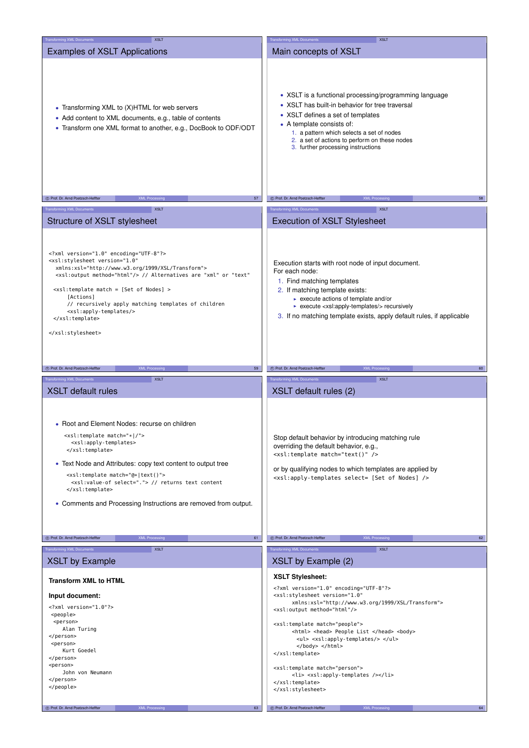| Transforming XML Documents<br><b>XSLT</b>                                                                                                                                                                                                                                                                                                                                                                                       | <b>Transforming XML Documents</b><br><b>XSLT</b>                                                                                                                                                                                                                                                                                           |
|---------------------------------------------------------------------------------------------------------------------------------------------------------------------------------------------------------------------------------------------------------------------------------------------------------------------------------------------------------------------------------------------------------------------------------|--------------------------------------------------------------------------------------------------------------------------------------------------------------------------------------------------------------------------------------------------------------------------------------------------------------------------------------------|
| <b>Examples of XSLT Applications</b>                                                                                                                                                                                                                                                                                                                                                                                            | Main concepts of XSLT                                                                                                                                                                                                                                                                                                                      |
| • Transforming XML to (X)HTML for web servers<br>• Add content to XML documents, e.g., table of contents<br>• Transform one XML format to another, e.g., DocBook to ODF/ODT                                                                                                                                                                                                                                                     | • XSLT is a functional processing/programming language<br>• XSLT has built-in behavior for tree traversal<br>• XSLT defines a set of templates<br>• A template consists of:<br>1. a pattern which selects a set of nodes<br>2. a set of actions to perform on these nodes<br>3. further processing instructions                            |
| C Prof. Dr. Arnd Poetzsch-Heffter<br>57                                                                                                                                                                                                                                                                                                                                                                                         | C Prof. Dr. Arnd Poetzsch-Heffter<br>58                                                                                                                                                                                                                                                                                                    |
| <b>XML Processing</b>                                                                                                                                                                                                                                                                                                                                                                                                           | <b>XML Processing</b>                                                                                                                                                                                                                                                                                                                      |
| <b>XSLT</b><br><b>Transforming XML Documents</b>                                                                                                                                                                                                                                                                                                                                                                                | <b>Transforming XML Documents</b><br><b>XSLT</b>                                                                                                                                                                                                                                                                                           |
| Structure of XSLT stylesheet                                                                                                                                                                                                                                                                                                                                                                                                    | <b>Execution of XSLT Stylesheet</b>                                                                                                                                                                                                                                                                                                        |
| xml version="1.0" encoding="UTF-8"?<br><xsl:stylesheet <br="" version="1.0">xmlns:xsl="http://www.w3.org/1999/XSL/Transform"&gt;<br/><xsl:output method="html"></xsl:output> // Alternatives are "xml" or "text"<br/><math>\leq</math>xsl:template match = [Set of Nodes] &gt;<br/>[Actions]<br/>// recursively apply matching templates of children<br/><xsl:apply-templates></xsl:apply-templates><br/><br/></xsl:stylesheet> | Execution starts with root node of input document.<br>For each node:<br>1. Find matching templates<br>2. If matching template exists:<br>$\triangleright$ execute actions of template and/or<br>► execute <xsl:apply-templates></xsl:apply-templates> recursively<br>3. If no matching template exists, apply default rules, if applicable |
|                                                                                                                                                                                                                                                                                                                                                                                                                                 |                                                                                                                                                                                                                                                                                                                                            |
| C Prof. Dr. Arnd Poetzsch-Heffter<br><b>XML Processing</b><br>59                                                                                                                                                                                                                                                                                                                                                                | C Prof. Dr. Arnd Poetzsch-Heffter<br><b>XML Processing</b><br>60                                                                                                                                                                                                                                                                           |
| <b>XSLT</b>                                                                                                                                                                                                                                                                                                                                                                                                                     |                                                                                                                                                                                                                                                                                                                                            |
| <b>Transforming XML Documents</b><br><b>XSLT</b> default rules                                                                                                                                                                                                                                                                                                                                                                  | <b>Transforming XML Documents</b><br><b>XSLT</b><br>XSLT default rules (2)                                                                                                                                                                                                                                                                 |
| • Root and Element Nodes: recurse on children<br><xsl:template match="* /"><br/><xsl:apply-templates><br/></xsl:apply-templates></xsl:template><br>• Text Node and Attributes: copy text content to output tree<br><xsl:template match="@* text()"><br/><xsl:value-of select="."> // returns text content<br/></xsl:value-of></xsl:template><br>• Comments and Processing Instructions are removed from output.                 | Stop default behavior by introducing matching rule<br>overriding the default behavior, e.g.,<br><xsl:template match="text()"></xsl:template><br>or by qualifying nodes to which templates are applied by<br><xsl:apply-templates nodes]="" of="" select="[Set"></xsl:apply-templates>                                                      |
|                                                                                                                                                                                                                                                                                                                                                                                                                                 |                                                                                                                                                                                                                                                                                                                                            |
| XML Processing<br>61<br>C Prof. Dr. Arnd Poetzsch-Heffter                                                                                                                                                                                                                                                                                                                                                                       | <b>XML Processing</b><br>C Prof. Dr. Arnd Poetzsch-Heffter<br>62                                                                                                                                                                                                                                                                           |
| <b>Transforming XML Documents</b><br><b>XSLT</b><br><b>XSLT by Example</b>                                                                                                                                                                                                                                                                                                                                                      | <b>Transforming XML Documents</b><br><b>XSLT</b><br>XSLT by Example (2)                                                                                                                                                                                                                                                                    |
|                                                                                                                                                                                                                                                                                                                                                                                                                                 | <b>XSLT Stylesheet:</b>                                                                                                                                                                                                                                                                                                                    |
| <b>Transform XML to HTML</b>                                                                                                                                                                                                                                                                                                                                                                                                    | xml version="1.0" encoding="UTF-8"?                                                                                                                                                                                                                                                                                                        |
| Input document:                                                                                                                                                                                                                                                                                                                                                                                                                 | <xsl:stylesheet <="" th="" version="1.0"></xsl:stylesheet>                                                                                                                                                                                                                                                                                 |
| xml version="1.0"?                                                                                                                                                                                                                                                                                                                                                                                                              | xmlns:xsl="http://www.w3.org/1999/XSL/Transform"><br><xsl:output method="html"></xsl:output>                                                                                                                                                                                                                                               |
| <people><br/><person></person></people>                                                                                                                                                                                                                                                                                                                                                                                         |                                                                                                                                                                                                                                                                                                                                            |
| Alan Turing                                                                                                                                                                                                                                                                                                                                                                                                                     | <xsl:template match="people"><br/><html> <head> People List </head> <body></body></html></xsl:template>                                                                                                                                                                                                                                    |
| <br><person></person>                                                                                                                                                                                                                                                                                                                                                                                                           | <ul><xsl:apply-templates></xsl:apply-templates></ul>                                                                                                                                                                                                                                                                                       |
| Kurt Goedel                                                                                                                                                                                                                                                                                                                                                                                                                     | <br>                                                                                                                                                                                                                                                                                                                                       |
| <br><person></person>                                                                                                                                                                                                                                                                                                                                                                                                           |                                                                                                                                                                                                                                                                                                                                            |
| John von Neumann                                                                                                                                                                                                                                                                                                                                                                                                                | <xsl:template match="person"><br/><li><xsl:apply-templates></xsl:apply-templates></li></xsl:template>                                                                                                                                                                                                                                      |
| <br>                                                                                                                                                                                                                                                                                                                                                                                                                            |                                                                                                                                                                                                                                                                                                                                            |
|                                                                                                                                                                                                                                                                                                                                                                                                                                 |                                                                                                                                                                                                                                                                                                                                            |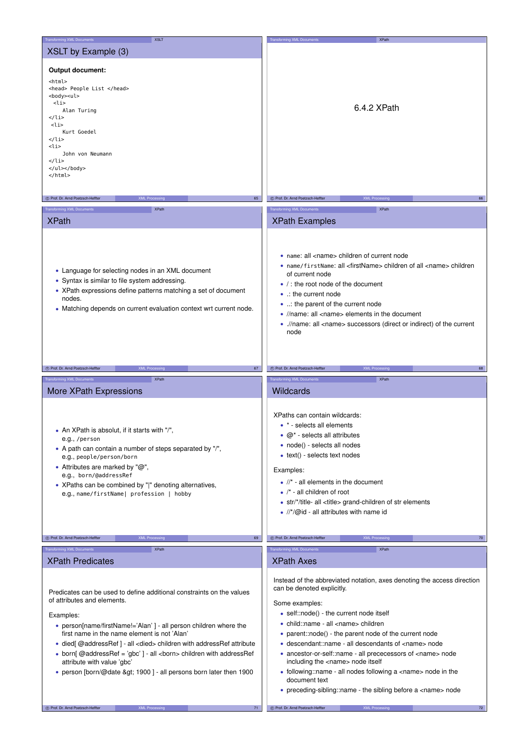| <b>Transforming XML Documents</b><br><b>XSLT</b>                                                                                                                                                                                                                                                                                                                                                                                                                                                        | <b>Transforming XML Documents</b><br><b>XPath</b>                                                                                                                                                                                                                                                                                                                                                                                                                                                                                                                                                                               |
|---------------------------------------------------------------------------------------------------------------------------------------------------------------------------------------------------------------------------------------------------------------------------------------------------------------------------------------------------------------------------------------------------------------------------------------------------------------------------------------------------------|---------------------------------------------------------------------------------------------------------------------------------------------------------------------------------------------------------------------------------------------------------------------------------------------------------------------------------------------------------------------------------------------------------------------------------------------------------------------------------------------------------------------------------------------------------------------------------------------------------------------------------|
| XSLT by Example (3)                                                                                                                                                                                                                                                                                                                                                                                                                                                                                     |                                                                                                                                                                                                                                                                                                                                                                                                                                                                                                                                                                                                                                 |
| Output document:<br><html><br/><head> People List </head><br/><body><ul><br/><li><br/>Alan Turing<br/></li><br/><li><br/>Kurt Goedel<br/></li><br/><li><br/>John von Neumann<br/></li><br/></ul></body><br/></html>                                                                                                                                                                                                                                                                                     | 6.4.2 XPath                                                                                                                                                                                                                                                                                                                                                                                                                                                                                                                                                                                                                     |
| C Prof. Dr. Arnd Poetzsch-Heffter<br><b>XML Processing</b><br>65                                                                                                                                                                                                                                                                                                                                                                                                                                        | C Prof. Dr. Arnd Poetzsch-Heffter<br><b>XML Processin</b><br>66                                                                                                                                                                                                                                                                                                                                                                                                                                                                                                                                                                 |
| Transforming XML Documents<br><b>XPath</b>                                                                                                                                                                                                                                                                                                                                                                                                                                                              | <b>Transforming XML Documents</b><br><b>XPath</b>                                                                                                                                                                                                                                                                                                                                                                                                                                                                                                                                                                               |
|                                                                                                                                                                                                                                                                                                                                                                                                                                                                                                         |                                                                                                                                                                                                                                                                                                                                                                                                                                                                                                                                                                                                                                 |
| <b>XPath</b>                                                                                                                                                                                                                                                                                                                                                                                                                                                                                            | <b>XPath Examples</b>                                                                                                                                                                                                                                                                                                                                                                                                                                                                                                                                                                                                           |
| • Language for selecting nodes in an XML document<br>• Syntax is similar to file system addressing.<br>• XPath expressions define patterns matching a set of document<br>nodes.<br>• Matching depends on current evaluation context wrt current node.                                                                                                                                                                                                                                                   | • name: all <name> children of current node<br/>• name/firstName: all <firstname> children of all <name> children<br/>of current node<br/><math>\bullet</math> / : the root node of the document<br/>• the current node<br/>• : the parent of the current node<br/>• //name: all <name> elements in the document<br/>• .//name: all <name> successors (direct or indirect) of the current<br/>node</name></name></name></firstname></name>                                                                                                                                                                                      |
| <b>XML Processing</b><br>C Prof. Dr. Arnd Poetzsch-Heffter<br>67                                                                                                                                                                                                                                                                                                                                                                                                                                        | C Prof. Dr. Arnd Poetzsch-Heffter<br><b>XML Processing</b><br>68                                                                                                                                                                                                                                                                                                                                                                                                                                                                                                                                                                |
| <b>Transforming XML Documents</b><br><b>XPath</b>                                                                                                                                                                                                                                                                                                                                                                                                                                                       | <b>Transforming XML Documents</b><br><b>XPath</b>                                                                                                                                                                                                                                                                                                                                                                                                                                                                                                                                                                               |
| More XPath Expressions                                                                                                                                                                                                                                                                                                                                                                                                                                                                                  | Wildcards                                                                                                                                                                                                                                                                                                                                                                                                                                                                                                                                                                                                                       |
| • An XPath is absolut, if it starts with "/",<br>e.g., /person<br>• A path can contain a number of steps separated by "/",<br>e.g., people/person/born<br>• Attributes are marked by " $@$ ",<br>e.g., born/@addressRef<br>• XPaths can be combined by " " denoting alternatives,<br>e.g., name/firstName  profession   hobby                                                                                                                                                                           | XPaths can contain wildcards:<br>• * - selects all elements<br>$\bullet$ @* - selects all attributes<br>• node() - selects all nodes<br>$\bullet$ text() - selects text nodes<br>Examples:<br>$\bullet$ //* - all elements in the document<br>$\bullet$ /* - all children of root<br>• str/*/title- all <title> grand-children of str elements<br/>• <math>//^*/@</math> id - all attributes with name id</title>                                                                                                                                                                                                               |
|                                                                                                                                                                                                                                                                                                                                                                                                                                                                                                         |                                                                                                                                                                                                                                                                                                                                                                                                                                                                                                                                                                                                                                 |
| C Prof. Dr. Arnd Poetzsch-Heffter<br><b>XML Processing</b><br>69                                                                                                                                                                                                                                                                                                                                                                                                                                        | C Prof. Dr. Arnd Poetzsch-Heffter<br><b>XML Processing</b><br>70                                                                                                                                                                                                                                                                                                                                                                                                                                                                                                                                                                |
| Transforming XML Documents<br><b>XPath</b>                                                                                                                                                                                                                                                                                                                                                                                                                                                              | <b>Transforming XML Documents</b><br><b>XPath</b>                                                                                                                                                                                                                                                                                                                                                                                                                                                                                                                                                                               |
| <b>XPath Predicates</b>                                                                                                                                                                                                                                                                                                                                                                                                                                                                                 | <b>XPath Axes</b>                                                                                                                                                                                                                                                                                                                                                                                                                                                                                                                                                                                                               |
| Predicates can be used to define additional constraints on the values<br>of attributes and elements.<br>Examples:<br>• person[name/firstName!='Alan'] - all person children where the<br>first name in the name element is not 'Alan'<br>• died [@addressRef] - all <died> children with addressRef attribute<br/>• born[@addressRef = 'gbc'] - all <born> children with addressRef<br/>attribute with value 'gbc'<br/>• person [born/@date &gt; 1900] - all persons born later then 1900</born></died> | Instead of the abbreviated notation, axes denoting the access direction<br>can be denoted explicitly.<br>Some examples:<br>· self::node() - the current node itself<br>• child::name - all <name> children<br/>• parent::node() - the parent node of the current node<br/>• descendant::name - all descendants of <name> node<br/>• ancestor-or-self::name - all prececessors of <name> node<br/>including the <name> node itself<br/>• following::name - all nodes following a <name> node in the<br/>document text<br/>• preceding-sibling::name - the sibling before a <name> node</name></name></name></name></name></name> |
| C Prof. Dr. Arnd Poetzsch-Heffter<br><b>XML Processing</b><br>71                                                                                                                                                                                                                                                                                                                                                                                                                                        | C Prof. Dr. Arnd Poetzsch-Heffter<br><b>XML Processing</b><br>72                                                                                                                                                                                                                                                                                                                                                                                                                                                                                                                                                                |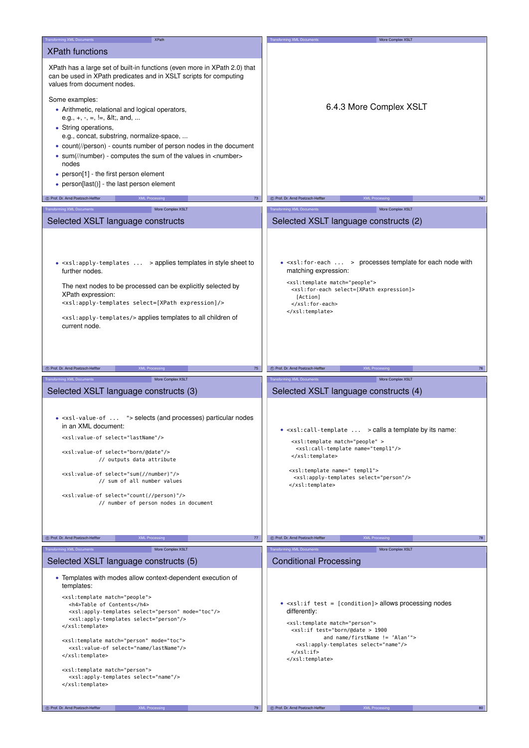| Transforming XML Documents<br><b>XPath</b>                                                                                                                                                                                                                                                                                                                                                                                                                                                                                           | <b>Transforming XML Documents</b><br>More Complex XSLT                                                                                                                                                                                                                                                                                      |
|--------------------------------------------------------------------------------------------------------------------------------------------------------------------------------------------------------------------------------------------------------------------------------------------------------------------------------------------------------------------------------------------------------------------------------------------------------------------------------------------------------------------------------------|---------------------------------------------------------------------------------------------------------------------------------------------------------------------------------------------------------------------------------------------------------------------------------------------------------------------------------------------|
| <b>XPath functions</b>                                                                                                                                                                                                                                                                                                                                                                                                                                                                                                               |                                                                                                                                                                                                                                                                                                                                             |
| XPath has a large set of built-in functions (even more in XPath 2.0) that<br>can be used in XPath predicates and in XSLT scripts for computing<br>values from document nodes.<br>Some examples:<br>• Arithmetic, relational and logical operators,<br>e.g., $+, \, \cdot, \, =, \, ! =, \, 8$ lt;, and,<br>• String operations,<br>e.g., concat, substring, normalize-space,<br>• count(//person) - counts number of person nodes in the document<br>• sum(//number) - computes the sum of the values in <number><br/>nodes</number> | 6.4.3 More Complex XSLT                                                                                                                                                                                                                                                                                                                     |
| • person[1] - the first person element<br>• person[last()] - the last person element                                                                                                                                                                                                                                                                                                                                                                                                                                                 |                                                                                                                                                                                                                                                                                                                                             |
| C Prof. Dr. Arnd Poetzsch-Heffter<br><b>XML Processing</b><br>73                                                                                                                                                                                                                                                                                                                                                                                                                                                                     | (C) Prof. Dr. Arnd Poetzsch-Heffter<br><b>XML Processing</b><br>74                                                                                                                                                                                                                                                                          |
|                                                                                                                                                                                                                                                                                                                                                                                                                                                                                                                                      |                                                                                                                                                                                                                                                                                                                                             |
| Transforming XML Documents<br>More Complex XSLT                                                                                                                                                                                                                                                                                                                                                                                                                                                                                      | <b>Transforming XML Documents</b><br>More Complex XSLT                                                                                                                                                                                                                                                                                      |
| Selected XSLT language constructs                                                                                                                                                                                                                                                                                                                                                                                                                                                                                                    | Selected XSLT language constructs (2)                                                                                                                                                                                                                                                                                                       |
| $\bullet$ <xsl:apply-templates> applies templates in style sheet to<br/>further nodes.<br/>The next nodes to be processed can be explicitly selected by<br/>XPath expression:<br/><xsl:apply-templates expression]="" select="[XPath"></xsl:apply-templates><br/><xsl:apply-templates></xsl:apply-templates>applies templates to all children of<br/>current node.</xsl:apply-templates>                                                                                                                                             | $\bullet$ <xsl: for-each=""> processes template for each node with<br/>matching expression:<br/><xsl:template match="people"><br/><xsl:for-each expression]="" select="[XPath"><br/>[Action]<br/></xsl:for-each><br/></xsl:template></xsl:>                                                                                                 |
| 75<br>C Prof. Dr. Arnd Poetzsch-Heffter<br><b>XML Processing</b>                                                                                                                                                                                                                                                                                                                                                                                                                                                                     | C Prof. Dr. Arnd Poetzsch-Heffter<br><b>XML Processing</b><br>76                                                                                                                                                                                                                                                                            |
| <b>Transforming XML Documents</b><br>More Complex XSLT                                                                                                                                                                                                                                                                                                                                                                                                                                                                               | Transforming XML Documents<br>More Complex XSLT                                                                                                                                                                                                                                                                                             |
| Selected XSLT language constructs (3)                                                                                                                                                                                                                                                                                                                                                                                                                                                                                                | Selected XSLT language constructs (4)                                                                                                                                                                                                                                                                                                       |
| • <xsl-value-of "=""> selects (and processes) particular nodes<br/>in an XML document:<br/><xsl:value-of select="lastName"></xsl:value-of><br/><xsl:value-of select="born/@date"></xsl:value-of><br/>// outputs data attribute<br/><xsl:value-of select="sum(//number)"></xsl:value-of><br/>// sum of all number values<br/><xsl:value-of select="count(//person)"></xsl:value-of><br/>// number of person nodes in document</xsl-value-of>                                                                                          | • <xsl:call-template> calls a template by its name:<br/><xsl:template match="people"><br/><xsl:call-template name="templ1"></xsl:call-template><br/></xsl:template><br/><xsl:template name=" templ1"><br/><xsl:apply-templates select="person"></xsl:apply-templates><br/></xsl:template></xsl:call-template>                               |
|                                                                                                                                                                                                                                                                                                                                                                                                                                                                                                                                      |                                                                                                                                                                                                                                                                                                                                             |
| C Prof. Dr. Arnd Poetzsch-Heffter<br><b>XML Processing</b><br>77                                                                                                                                                                                                                                                                                                                                                                                                                                                                     | C Prof. Dr. Arnd Poetzsch-Heffter<br><b>XML Processing</b><br>78                                                                                                                                                                                                                                                                            |
| More Complex XSLT<br>Transforming XML Documents                                                                                                                                                                                                                                                                                                                                                                                                                                                                                      | More Complex XSLT<br><b>Transforming XML Documents</b>                                                                                                                                                                                                                                                                                      |
| Selected XSLT language constructs (5)                                                                                                                                                                                                                                                                                                                                                                                                                                                                                                | <b>Conditional Processing</b>                                                                                                                                                                                                                                                                                                               |
| • Templates with modes allow context-dependent execution of<br>templates:                                                                                                                                                                                                                                                                                                                                                                                                                                                            |                                                                                                                                                                                                                                                                                                                                             |
| <xsl:template match="people"><br/><h4>Table of Contents</h4><br/><xsl:apply-templates mode="toc" select="person"></xsl:apply-templates><br/><xsl:apply-templates select="person"></xsl:apply-templates><br/></xsl:template><br><xsl:template match="person" mode="toc"><br/><xsl:value-of select="name/lastName"></xsl:value-of><br/></xsl:template><br><xsl:template match="person"><br/><xsl:apply-templates select="name"></xsl:apply-templates><br/></xsl:template>                                                              | $\bullet$ <xsl:if test="[condition]"> allows processing nodes<br/>differently:<br/><xsl:template match="person"><br/><xsl:if test="born/@date &gt; 1900&lt;br&gt;and name/firstName != 'Alan'"><br/><xsl:apply-templates select="name"></xsl:apply-templates><br/><math>\langle xsl:if \rangle</math><br/></xsl:if></xsl:template></xsl:if> |
|                                                                                                                                                                                                                                                                                                                                                                                                                                                                                                                                      |                                                                                                                                                                                                                                                                                                                                             |